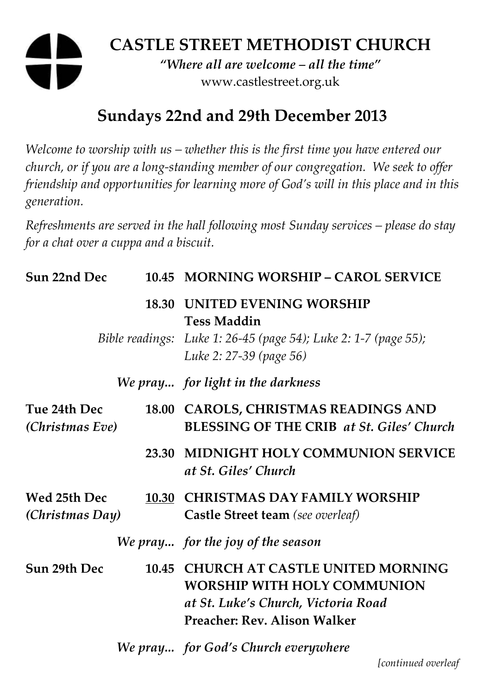# **CASTLE STREET METHODIST CHURCH**  *"Where all are welcome – all the time"*

www.castlestreet.org.uk

# **Sundays 22nd and 29th December 2013**

*Welcome to worship with us – whether this is the first time you have entered our church, or if you are a long-standing member of our congregation. We seek to offer friendship and opportunities for learning more of God's will in this place and in this generation.* 

*Refreshments are served in the hall following most Sunday services – please do stay for a chat over a cuppa and a biscuit.* 

| Sun 22nd Dec                    |       | 10.45 MORNING WORSHIP - CAROL SERVICE                                                                                                                      |
|---------------------------------|-------|------------------------------------------------------------------------------------------------------------------------------------------------------------|
| 18.30                           |       | <b>UNITED EVENING WORSHIP</b><br><b>Tess Maddin</b><br>Bible readings: Luke 1: 26-45 (page 54); Luke 2: 1-7 (page 55);<br>Luke 2: 27-39 (page 56)          |
|                                 |       | We pray for light in the darkness                                                                                                                          |
| Tue 24th Dec<br>(Christmas Eve) |       | 18.00 CAROLS, CHRISTMAS READINGS AND<br><b>BLESSING OF THE CRIB at St. Giles' Church</b>                                                                   |
|                                 | 23.30 | <b>MIDNIGHT HOLY COMMUNION SERVICE</b><br>at St. Giles' Church                                                                                             |
| Wed 25th Dec<br>(Christmas Day) | 10.30 | <b>CHRISTMAS DAY FAMILY WORSHIP</b><br>Castle Street team (see overleaf)                                                                                   |
|                                 |       | We pray for the joy of the season                                                                                                                          |
| Sun 29th Dec                    | 10.45 | <b>CHURCH AT CASTLE UNITED MORNING</b><br><b>WORSHIP WITH HOLY COMMUNION</b><br>at St. Luke's Church, Victoria Road<br><b>Preacher: Rev. Alison Walker</b> |
|                                 |       | We pray for God's Church everywhere                                                                                                                        |

*[continued overleaf*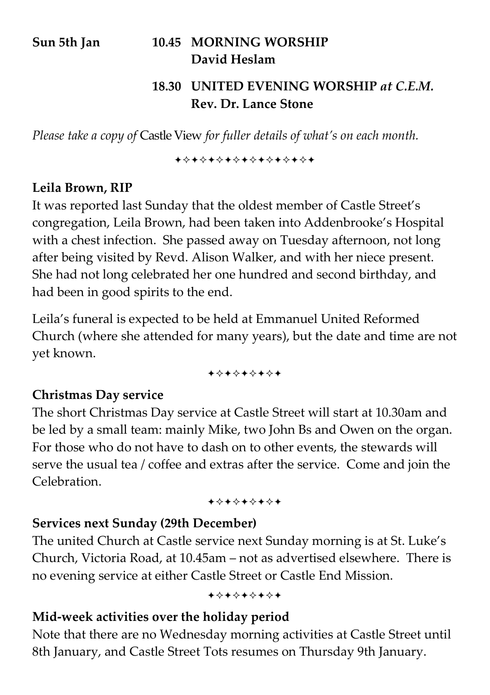# **Sun 5th Jan 10.45 MORNING WORSHIP David Heslam**

#### **18.30 UNITED EVENING WORSHIP** *at C.E.M.*  **Rev. Dr. Lance Stone**

*Please take a copy of* Castle View *for fuller details of what's on each month.* 

**\*\*\*\*\*\*\*\*\*\*\*\*\*\*\*\*** 

#### **Leila Brown, RIP**

It was reported last Sunday that the oldest member of Castle Street's congregation, Leila Brown, had been taken into Addenbrooke's Hospital with a chest infection. She passed away on Tuesday afternoon, not long after being visited by Revd. Alison Walker, and with her niece present. She had not long celebrated her one hundred and second birthday, and had been in good spirits to the end.

Leila's funeral is expected to be held at Emmanuel United Reformed Church (where she attended for many years), but the date and time are not yet known.

+\*+\*+\*+\*+

#### **Christmas Day service**

The short Christmas Day service at Castle Street will start at 10.30am and be led by a small team: mainly Mike, two John Bs and Owen on the organ. For those who do not have to dash on to other events, the stewards will serve the usual tea / coffee and extras after the service. Come and join the Celebration.

+\*+\*+\*+\*+

#### **Services next Sunday (29th December)**

The united Church at Castle service next Sunday morning is at St. Luke's Church, Victoria Road, at 10.45am – not as advertised elsewhere. There is no evening service at either Castle Street or Castle End Mission.

+\*+\*+\*+\*+

#### **Mid-week activities over the holiday period**

Note that there are no Wednesday morning activities at Castle Street until 8th January, and Castle Street Tots resumes on Thursday 9th January.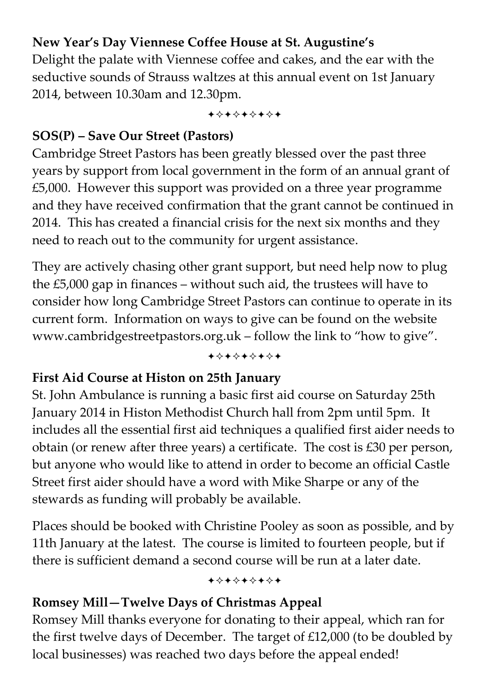# **New Year's Day Viennese Coffee House at St. Augustine's**

Delight the palate with Viennese coffee and cakes, and the ear with the seductive sounds of Strauss waltzes at this annual event on 1st January 2014, between 10.30am and 12.30pm.

+\*+\*+\*+\*+

#### **SOS(P) – Save Our Street (Pastors)**

Cambridge Street Pastors has been greatly blessed over the past three years by support from local government in the form of an annual grant of £5,000. However this support was provided on a three year programme and they have received confirmation that the grant cannot be continued in 2014. This has created a financial crisis for the next six months and they need to reach out to the community for urgent assistance.

They are actively chasing other grant support, but need help now to plug the £5,000 gap in finances – without such aid, the trustees will have to consider how long Cambridge Street Pastors can continue to operate in its current form. Information on ways to give can be found on the website www.cambridgestreetpastors.org.uk – follow the link to "how to give".

+\*+\*+\*+\*+

#### **First Aid Course at Histon on 25th January**

St. John Ambulance is running a basic first aid course on Saturday 25th January 2014 in Histon Methodist Church hall from 2pm until 5pm. It includes all the essential first aid techniques a qualified first aider needs to obtain (or renew after three years) a certificate. The cost is £30 per person, but anyone who would like to attend in order to become an official Castle Street first aider should have a word with Mike Sharpe or any of the stewards as funding will probably be available.

Places should be booked with Christine Pooley as soon as possible, and by 11th January at the latest. The course is limited to fourteen people, but if there is sufficient demand a second course will be run at a later date.

+\*+\*+\*+\*+

#### **Romsey Mill—Twelve Days of Christmas Appeal**

Romsey Mill thanks everyone for donating to their appeal, which ran for the first twelve days of December. The target of £12,000 (to be doubled by local businesses) was reached two days before the appeal ended!